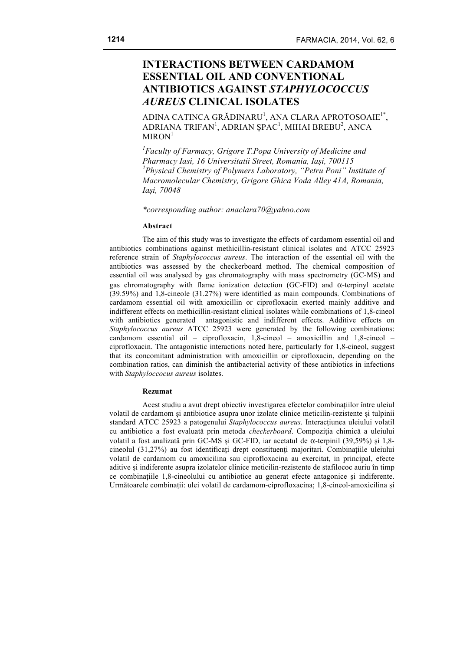# **INTERACTIONS BETWEEN CARDAMOM ESSENTIAL OIL AND CONVENTIONAL ANTIBIOTICS AGAINST** *STAPHYLOCOCCUS AUREUS* **CLINICAL ISOLATES**

ADINA CATINCA GRĂDINARU<sup>1</sup>, ANA CLARA APROTOSOAIE<sup>1\*</sup>, ADRIANA TRIFAN<sup>1</sup>, ADRIAN ȘPAC<sup>1</sup>, MIHAI BREBU<sup>2</sup>, ANCA  $MIRON<sup>1</sup>$ 

*1 Faculty of Farmacy, Grigore T.Popa University of Medicine and Pharmacy Iasi, 16 Universitatii Street, Romania, Iași, 700115 2 Physical Chemistry of Polymers Laboratory, "Petru Poni" Institute of Macromolecular Chemistry, Grigore Ghica Voda Alley 41A, Romania, Iași, 70048*

*\*corresponding author: anaclara70@yahoo.com*

#### **Abstract**

The aim of this study was to investigate the effects of cardamom essential oil and antibiotics combinations against methicillin-resistant clinical isolates and ATCC 25923 reference strain of *Staphylococcus aureus*. The interaction of the essential oil with the antibiotics was assessed by the checkerboard method. The chemical composition of essential oil was analysed by gas chromatography with mass spectrometry (GC-MS) and gas chromatography with flame ionization detection (GC-FID) and  $\alpha$ -terpinyl acetate (39.59%) and 1,8-cineole (31.27%) were identified as main compounds. Combinations of cardamom essential oil with amoxicillin or ciprofloxacin exerted mainly additive and indifferent effects on methicillin-resistant clinical isolates while combinations of 1,8-cineol with antibiotics generated antagonistic and indifferent effects. Additive effects on *Staphylococcus aureus* ATCC 25923 were generated by the following combinations: cardamom essential oil – ciprofloxacin, 1,8-cineol – amoxicillin and 1,8-cineol – ciprofloxacin. The antagonistic interactions noted here, particularly for 1,8-cineol, suggest that its concomitant administration with amoxicillin or ciprofloxacin, depending on the combination ratios, can diminish the antibacterial activity of these antibiotics in infections with *Staphyloccocus aureus* isolates.

#### **Rezumat**

Acest studiu a avut drept obiectiv investigarea efectelor combinațiilor între uleiul volatil de cardamom și antibiotice asupra unor izolate clinice meticilin-rezistente și tulpinii standard ATCC 25923 a patogenului *Staphylococcus aureus*. Interacțiunea uleiului volatil cu antibiotice a fost evaluată prin metoda *checkerboard*. Compoziția chimică a uleiului volatil a fost analizată prin GC-MS și GC-FID, iar acetatul de α-terpinil (39,59%) și 1,8 cineolul (31,27%) au fost identificați drept constituenţi majoritari. Combinațiile uleiului volatil de cardamom cu amoxicilina sau ciprofloxacina au exercitat, in principal, efecte aditive și indiferente asupra izolatelor clinice meticilin-rezistente de stafilococ auriu în timp ce combinațiile 1,8-cineolului cu antibiotice au generat efecte antagonice și indiferente. Următoarele combinații: ulei volatil de cardamom-ciprofloxacina; 1,8-cineol-amoxicilina și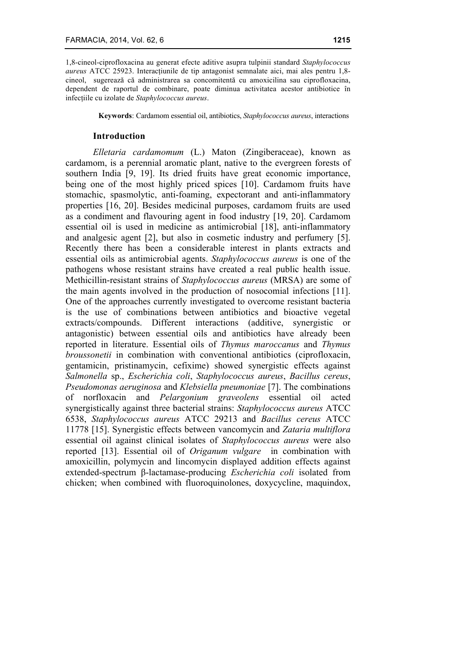1,8-cineol-ciprofloxacina au generat efecte aditive asupra tulpinii standard *Staphylococcus aureus* ATCC 25923. Interacțiunile de tip antagonist semnalate aici, mai ales pentru 1,8 cineol, sugerează că administrarea sa concomitentă cu amoxicilina sau ciprofloxacina, dependent de raportul de combinare, poate diminua activitatea acestor antibiotice în infecțiile cu izolate de *Staphylococcus aureus*.

**Keywords**: Cardamom essential oil, antibiotics, *Staphylococcus aureus*, interactions

#### **Introduction**

*Elletaria cardamomum* (L.) Maton (Zingiberaceae), known as cardamom, is a perennial aromatic plant, native to the evergreen forests of southern India [9, 19]. Its dried fruits have great economic importance, being one of the most highly priced spices [10]. Cardamom fruits have stomachic, spasmolytic, anti-foaming, expectorant and anti-inflammatory properties [16, 20]. Besides medicinal purposes, cardamom fruits are used as a condiment and flavouring agent in food industry [19, 20]. Cardamom essential oil is used in medicine as antimicrobial [18], anti-inflammatory and analgesic agent [2], but also in cosmetic industry and perfumery [5]. Recently there has been a considerable interest in plants extracts and essential oils as antimicrobial agents. *Staphylococcus aureus* is one of the pathogens whose resistant strains have created a real public health issue. Methicillin-resistant strains of *Staphylococcus aureus* (MRSA) are some of the main agents involved in the production of nosocomial infections [11]. One of the approaches currently investigated to overcome resistant bacteria is the use of combinations between antibiotics and bioactive vegetal extracts/compounds. Different interactions (additive, synergistic or antagonistic) between essential oils and antibiotics have already been reported in literature. Essential oils of *Thymus maroccanus* and *Thymus broussonetii* in combination with conventional antibiotics (ciprofloxacin, gentamicin, pristinamycin, cefixime) showed synergistic effects against *Salmonella* sp., *Escherichia coli*, *Staphylococcus aureus*, *Bacillus cereus*, *Pseudomonas aeruginosa* and *Klebsiella pneumoniae* [7]. The combinations of norfloxacin and *Pelargonium graveolens* essential oil acted synergistically against three bacterial strains: *Staphylococcus aureus* ATCC 6538, *Staphylococcus aureus* ATCC 29213 and *Bacillus cereus* ATCC 11778 [15]. Synergistic effects between vancomycin and *Zataria multiflora* essential oil against clinical isolates of *Staphylococcus aureus* were also reported [13]. Essential oil of *Origanum vulgare* in combination with amoxicillin, polymycin and lincomycin displayed addition effects against extended-spectrum β-lactamase-producing *Escherichia coli* isolated from chicken; when combined with fluoroquinolones, doxycycline, maquindox,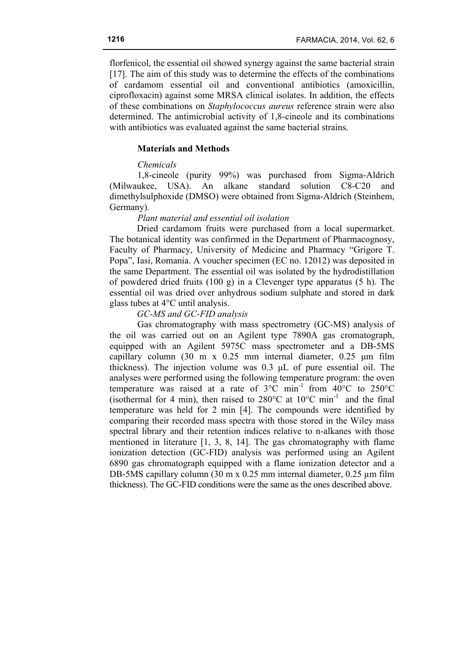florfenicol, the essential oil showed synergy against the same bacterial strain [17]. The aim of this study was to determine the effects of the combinations of cardamom essential oil and conventional antibiotics (amoxicillin, ciprofloxacin) against some MRSA clinical isolates. In addition, the effects of these combinations on *Staphylococcus aureus* reference strain were also determined. The antimicrobial activity of 1,8-cineole and its combinations with antibiotics was evaluated against the same bacterial strains.

### **Materials and Methods**

# *Chemicals*

1,8-cineole (purity 99%) was purchased from Sigma-Aldrich (Milwaukee, USA). An alkane standard solution C8-C20 and dimethylsulphoxide (DMSO) were obtained from Sigma-Aldrich (Steinhem, Germany).

# *Plant material and essential oil isolation*

Dried cardamom fruits were purchased from a local supermarket. The botanical identity was confirmed in the Department of Pharmacognosy, Faculty of Pharmacy, University of Medicine and Pharmacy "Grigore T. Popa", Iasi, Romania. A voucher specimen (EC no. 12012) was deposited in the same Department. The essential oil was isolated by the hydrodistillation of powdered dried fruits (100 g) in a Clevenger type apparatus (5 h). The essential oil was dried over anhydrous sodium sulphate and stored in dark glass tubes at 4°C until analysis.

### *GC-MS and GC-FID analysis*

Gas chromatography with mass spectrometry (GC-MS) analysis of the oil was carried out on an Agilent type 7890A gas cromatograph, equipped with an Agilent 5975C mass spectrometer and a DB-5MS capillary column (30 m x 0.25 mm internal diameter, 0.25 µm film thickness). The injection volume was 0.3 µL of pure essential oil. The analyses were performed using the following temperature program: the oven temperature was raised at a rate of  $3^{\circ}$ C min<sup>-1</sup> from  $40^{\circ}$ C to  $250^{\circ}$ C (isothermal for 4 min), then raised to  $280^{\circ}$ C at  $10^{\circ}$ C min<sup>-1</sup> and the final temperature was held for 2 min [4]. The compounds were identified by comparing their recorded mass spectra with those stored in the Wiley mass spectral library and their retention indices relative to n-alkanes with those mentioned in literature [1, 3, 8, 14]. The gas chromatography with flame ionization detection (GC-FID) analysis was performed using an Agilent 6890 gas chromatograph equipped with a flame ionization detector and a DB-5MS capillary column (30 m x 0.25 mm internal diameter, 0.25 um film thickness). The GC-FID conditions were the same as the ones described above.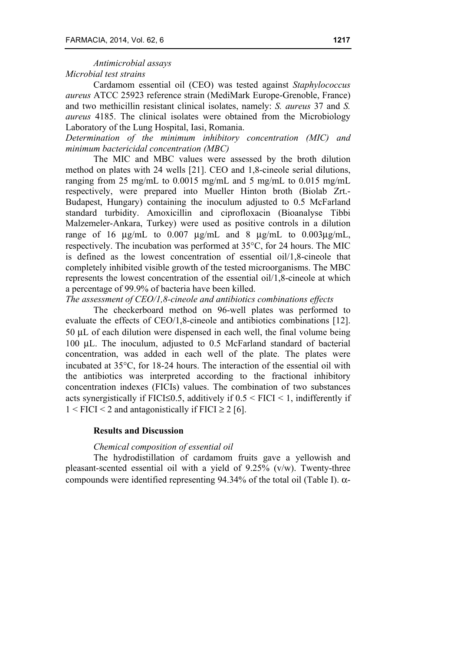# *Antimicrobial assays*

# *Microbial test strains*

Cardamom essential oil (CEO) was tested against *Staphylococcus aureus* ATCC 25923 reference strain (MediMark Europe-Grenoble, France) and two methicillin resistant clinical isolates, namely: *S. aureus* 37 and *S. aureus* 4185. The clinical isolates were obtained from the Microbiology Laboratory of the Lung Hospital, Iasi, Romania.

*Determination of the minimum inhibitory concentration (MIC) and minimum bactericidal concentration (MBC)*

The MIC and MBC values were assessed by the broth dilution method on plates with 24 wells [21]. CEO and 1,8-cineole serial dilutions, ranging from 25 mg/mL to 0.0015 mg/mL and 5 mg/mL to 0.015 mg/mL respectively, were prepared into Mueller Hinton broth (Biolab Zrt.- Budapest, Hungary) containing the inoculum adjusted to 0.5 McFarland standard turbidity. Amoxicillin and ciprofloxacin (Bioanalyse Tibbi Malzemeler-Ankara, Turkey) were used as positive controls in a dilution range of 16  $\mu$ g/mL to 0.007  $\mu$ g/mL and 8  $\mu$ g/mL to 0.003 $\mu$ g/mL, respectively. The incubation was performed at 35°C, for 24 hours. The MIC is defined as the lowest concentration of essential oil/1,8-cineole that completely inhibited visible growth of the tested microorganisms. The MBC represents the lowest concentration of the essential oil/1,8-cineole at which a percentage of 99.9% of bacteria have been killed.

*The assessment of CEO/1,8-cineole and antibiotics combinations effects*

The checkerboard method on 96-well plates was performed to evaluate the effects of CEO/1,8-cineole and antibiotics combinations [12]. 50 µL of each dilution were dispensed in each well, the final volume being 100 µL. The inoculum, adjusted to 0.5 McFarland standard of bacterial concentration, was added in each well of the plate. The plates were incubated at 35°C, for 18-24 hours. The interaction of the essential oil with the antibiotics was interpreted according to the fractional inhibitory concentration indexes (FICIs) values. The combination of two substances acts synergistically if FICI≤0.5, additively if  $0.5 <$  FICI < 1, indifferently if  $1 < FICI < 2$  and antagonistically if  $FICI \ge 2$  [6].

# **Results and Discussion**

# *Chemical composition of essential oil*

The hydrodistillation of cardamom fruits gave a yellowish and pleasant-scented essential oil with a yield of 9.25% (v/w). Twenty-three compounds were identified representing 94.34% of the total oil (Table I). α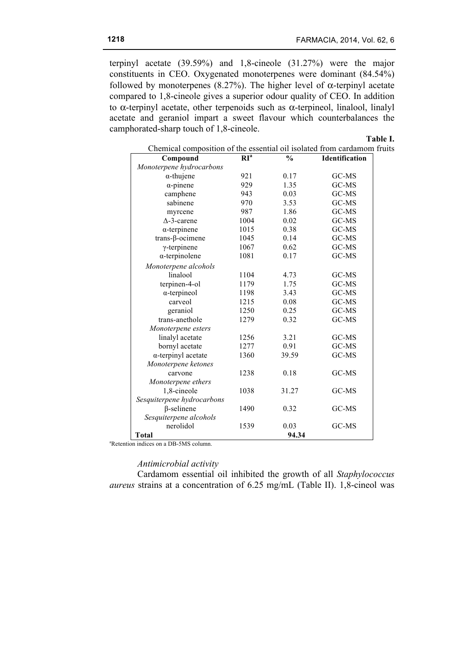terpinyl acetate (39.59%) and 1,8-cineole (31.27%) were the major constituents in CEO. Oxygenated monoterpenes were dominant (84.54%) followed by monoterpenes (8.27%). The higher level of  $\alpha$ -terpinyl acetate compared to 1,8-cineole gives a superior odour quality of CEO. In addition to α-terpinyl acetate, other terpenoids such as α-terpineol, linalool, linalyl acetate and geraniol impart a sweet flavour which counterbalances the camphorated-sharp touch of 1,8-cineole.

**Table I.**

| Chemical composition of the essential oil isolated from cardamom fruits |                 |               |                |  |
|-------------------------------------------------------------------------|-----------------|---------------|----------------|--|
| Compound                                                                | RI <sup>a</sup> | $\frac{0}{0}$ | Identification |  |
| Monoterpene hydrocarbons                                                |                 |               |                |  |
| $\alpha$ -thujene                                                       | 921             | 0.17          | GC-MS          |  |
| $\alpha$ -pinene                                                        | 929             | 1.35          | GC-MS          |  |
| camphene                                                                | 943             | 0.03          | GC-MS          |  |
| sabinene                                                                | 970             | 3.53          | GC-MS          |  |
| myrcene                                                                 | 987             | 1.86          | GC-MS          |  |
| $\Delta$ -3-carene                                                      | 1004            | 0.02          | GC-MS          |  |
| $\alpha$ -terpinene                                                     | 1015            | 0.38          | GC-MS          |  |
| $trans-\beta-ocimene$                                                   | 1045            | 0.14          | GC-MS          |  |
| $\gamma$ -terpinene                                                     | 1067            | 0.62          | GC-MS          |  |
| $\alpha$ -terpinolene                                                   | 1081            | 0.17          | GC-MS          |  |
| Monoterpene alcohols                                                    |                 |               |                |  |
| linalool                                                                | 1104            | 4.73          | GC-MS          |  |
| terpinen-4-ol                                                           | 1179            | 1.75          | GC-MS          |  |
| $\alpha$ -terpineol                                                     | 1198            | 3.43          | GC-MS          |  |
| carveol                                                                 | 1215            | 0.08          | GC-MS          |  |
| geraniol                                                                | 1250            | 0.25          | GC-MS          |  |
| trans-anethole                                                          | 1279            | 0.32          | GC-MS          |  |
| Monoterpene esters                                                      |                 |               |                |  |
| linalyl acetate                                                         | 1256            | 3.21          | GC-MS          |  |
| bornyl acetate                                                          | 1277            | 0.91          | GC-MS          |  |
| $\alpha$ -terpinyl acetate                                              | 1360            | 39.59         | GC-MS          |  |
| Monoterpene ketones                                                     |                 |               |                |  |
| carvone                                                                 | 1238            | 0.18          | GC-MS          |  |
| Monoterpene ethers                                                      |                 |               |                |  |
| 1,8-cineole                                                             | 1038            | 31.27         | GC-MS          |  |
| Sesquiterpene hydrocarbons                                              |                 |               |                |  |
| $\beta$ -selinene                                                       | 1490            | 0.32          | GC-MS          |  |
| Sesquiterpene alcohols                                                  |                 |               |                |  |
| nerolidol                                                               | 1539            | 0.03          | GC-MS          |  |
| <b>Total</b>                                                            |                 | 94.34         |                |  |

a Retention indices on a DB-5MS column.

# *Antimicrobial activity*

Cardamom essential oil inhibited the growth of all *Staphylococcus aureus* strains at a concentration of 6.25 mg/mL (Table II). 1,8-cineol was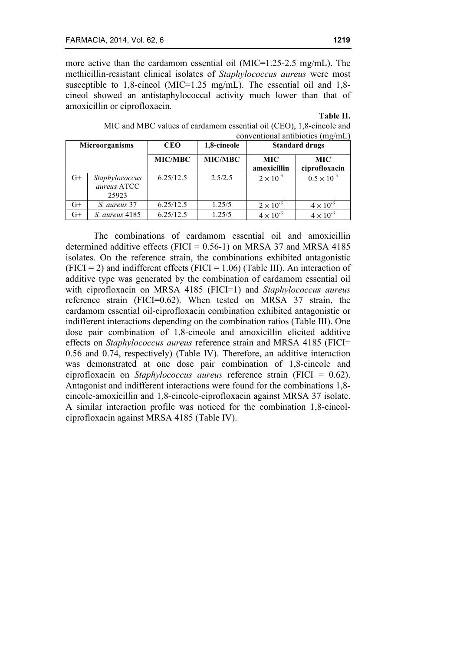G+ *Staphylococcus aureus* ATCC 25923

more active than the cardamom essential oil (MIC=1.25-2.5 mg/mL). The methicillin-resistant clinical isolates of *Staphylococcus aureus* were most susceptible to 1,8-cineol (MIC=1.25 mg/mL). The essential oil and 1,8 cineol showed an antistaphylococcal activity much lower than that of amoxicillin or ciprofloxacin.

### **Table II.**

| MIC and MBC values of cardamom essential oil (CEO), 1,8-cineole and<br>conventional antibiotics $(mg/mL)$ |                |                |                           |                       |  |
|-----------------------------------------------------------------------------------------------------------|----------------|----------------|---------------------------|-----------------------|--|
| <b>Microorganisms</b>                                                                                     | <b>CEO</b>     | 1,8-cineole    | <b>Standard drugs</b>     |                       |  |
|                                                                                                           | <b>MIC/MBC</b> | <b>MIC/MBC</b> | <b>MIC</b><br>amoxicillin | MIC.<br>ciprofloxacin |  |

G+ | *S. aureus* 37 |  $6.25/12.5$  |  $1.25/5$  |  $2 \times 10^{-3}$  |  $4 \times 10^{-3}$ G+ | *S. aureus* 4185 |  $6.25/12.5$  |  $1.25/5$  |  $4 \times 10^{-3}$  |  $4 \times 10^{-3}$ 

| MIC and MBC values of cardamom essential oil (CEO), 1,8-cineole and |
|---------------------------------------------------------------------|
| conventional antibiotics (mg/mL)                                    |
|                                                                     |

6.25/12.5 | 2.5/2.5 |  $2 \times 10^{-3}$  |  $0.5 \times 10^{-3}$ 

The combinations of cardamom essential oil and amoxicillin determined additive effects (FICI =  $0.56$ -1) on MRSA 37 and MRSA 4185 isolates. On the reference strain, the combinations exhibited antagonistic  $(FICI = 2)$  and indifferent effects  $(FICI = 1.06)$  (Table III). An interaction of additive type was generated by the combination of cardamom essential oil with ciprofloxacin on MRSA 4185 (FICI=1) and *Staphylococcus aureus* reference strain (FICI=0.62). When tested on MRSA 37 strain, the cardamom essential oil-ciprofloxacin combination exhibited antagonistic or indifferent interactions depending on the combination ratios (Table III). One dose pair combination of 1,8-cineole and amoxicillin elicited additive effects on *Staphylococcus aureus* reference strain and MRSA 4185 (FICI= 0.56 and 0.74, respectively) (Table IV). Therefore, an additive interaction was demonstrated at one dose pair combination of 1,8-cineole and ciprofloxacin on *Staphylococcus aureus* reference strain (FICI = 0.62). Antagonist and indifferent interactions were found for the combinations 1,8 cineole-amoxicillin and 1,8-cineole-ciprofloxacin against MRSA 37 isolate. A similar interaction profile was noticed for the combination 1,8-cineolciprofloxacin against MRSA 4185 (Table IV).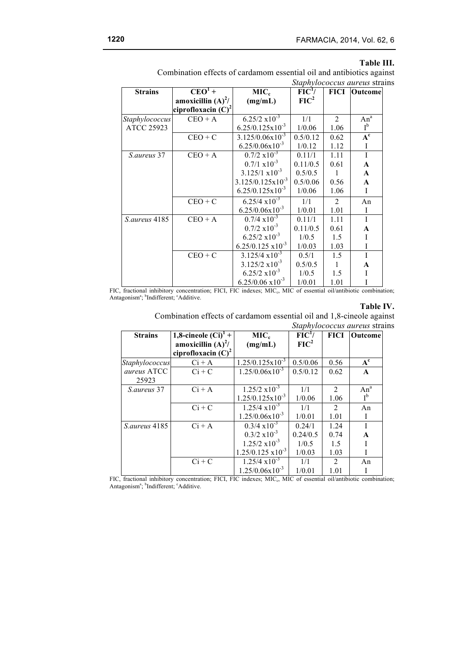#### **Table III.**

Combination effects of cardamom essential oil and antibiotics against *Staphylococcus aureus* strains

| <b>Strains</b>    | $CEO1 +$              | MIC <sub>c</sub>             | $\overline{FIC^1/}$ | <b>FICI</b>    | Outcome               |
|-------------------|-----------------------|------------------------------|---------------------|----------------|-----------------------|
|                   | amoxicillin $(A)^2/$  | (mg/mL)                      | FIC <sup>2</sup>    |                |                       |
|                   | ciprofloxacin $(C)^2$ |                              |                     |                |                       |
| Staphylococcus    | $CEO + A$             | $6.25/2 \times 10^{-3}$      | 1/1                 | 2              | $An^a$                |
| <b>ATCC 25923</b> |                       | $6.25/0.125 \times 10^{-3}$  | 1/0.06              | 1.06           | $I^{\mathfrak{b}}$    |
|                   | $CEO + C$             | $3.125/0.06x10^{-3}$         | 0.5/0.12            | 0.62           | $\overline{A^c}$      |
|                   |                       | $6.25/0.06x10^{-3}$          | 1/0.12              | 1.12           | $\bf I$               |
| S.aureus 37       | $CEO + A$             | $0.7/2 \times 10^{-3}$       | 0.11/1              | 1.11           | I                     |
|                   |                       | $0.7/1 \times 10^{-3}$       | 0.11/0.5            | 0.61           | $\boldsymbol{\rm{A}}$ |
|                   |                       | $3.125/1 \times 10^{-3}$     | 0.5/0.5             | 1              | $\mathbf{A}$          |
|                   |                       | $3.125/0.125 \times 10^{-3}$ | 0.5/0.06            | 0.56           | $\mathbf A$           |
|                   |                       | $6.25/0.125 \times 10^{-3}$  | 1/0.06              | 1.06           | I                     |
|                   | $CEO + C$             | $6.25/4 \times 10^{-3}$      | 1/1                 | $\overline{2}$ | An                    |
|                   |                       | $6.25/0.06x10^{-3}$          | 1/0.01              | 1.01           | I                     |
| S. aureus 4185    | $CEO + A$             | $0.7/4 \times 10^{-3}$       | 0.11/1              | 1.11           | $\mathbf I$           |
|                   |                       | $0.7/2 \times 10^{-3}$       | 0.11/0.5            | 0.61           | $\mathbf A$           |
|                   |                       | $6.25/2 \times 10^{-3}$      | 1/0.5               | 1.5            | $\mathbf I$           |
|                   |                       | $6.25/0.125 \times 10^{-3}$  | 1/0.03              | 1.03           | I                     |
|                   | $CEO + C$             | $3.125/4 \times 10^{-3}$     | 0.5/1               | 1.5            | $\bf I$               |
|                   |                       | $3.125/2 \times 10^{-3}$     | 0.5/0.5             | 1              | A                     |
|                   |                       | $6.25/2 \times 10^{-3}$      | 1/0.5               | 1.5            | I                     |
|                   |                       | $6.25/0.06 \times 10^{-3}$   | 1/0.01              | 1.01           | I                     |

FIC, fractional inhibitory concentration; FICI, FIC indexes; MIC<sub>c</sub>, MIC of essential oil/antibiotic combination; Antagonism<sup>a</sup>; <sup>b</sup>Indifferent; <sup>c</sup>Additive.

# **Table IV.**

Combination effects of cardamom essential oil and 1,8-cineole against *Staphylococcus aureus* strains

| <b>Strains</b> | 1,8-cineole $(Ci)^{1}$ + | MIC <sub>c</sub>            | FIC <sup>1</sup> / | <b>FICI</b>                 | Outcome      |
|----------------|--------------------------|-----------------------------|--------------------|-----------------------------|--------------|
|                | amoxicillin $(A)^2/$     | (mg/mL)                     | $FIC^2$            |                             |              |
|                | ciprofloxacin $(C)^2$    |                             |                    |                             |              |
| Staphylococcus | $Ci + A$                 | $1.25/0.125 \times 10^{-3}$ | 0.5/0.06           | 0.56                        | $A^c$        |
| aureus ATCC    | $Ci + C$                 | $1.25/0.06x10^{-3}$         | 0.5/0.12           | 0.62                        | $\mathbf{A}$ |
| 25923          |                          |                             |                    |                             |              |
| S. aureus 37   | $Ci + A$                 | $1.25/2 \times 10^{-3}$     | 1/1                | $\mathcal{D}_{\mathcal{L}}$ | $An^a$       |
|                |                          | $1.25/0.125 \times 10^{-3}$ | 1/0.06             | 1.06                        | $I^{\rm b}$  |
|                | $Ci + C$                 | $1.25/4 \times 10^{-3}$     | 1/1                | $\mathfrak{D}$              | An           |
|                |                          | $1.25/0.06x10^{-3}$         | 1/0.01             | 1.01                        | I            |
| S.aureus 4185  | $Ci + A$                 | $0.3/4 \times 10^{-3}$      | 0.24/1             | 1.24                        | T            |
|                |                          | $0.3/2 \times 10^{-3}$      | 0.24/0.5           | 0.74                        | A            |
|                |                          | $1.25/2 \times 10^{-3}$     | 1/0.5              | 1.5                         |              |
|                |                          | $1.25/0.125 \times 10^{-3}$ | 1/0.03             | 1.03                        | I            |
|                | $Ci + C$                 | $1.25/4 \times 10^{-3}$     | 1/1                | $\mathfrak{D}$              | An           |
|                |                          | $1.25/0.06x10^{-3}$         | 1/0.01             | 1.01                        |              |

FIC, fractional inhibitory concentration; FICI, FIC indexes; MIC<sub>c</sub>, MIC of essential oil/antibiotic combination; Antagonism<sup>a</sup>; <sup>b</sup>Indifferent; <sup>c</sup>Additive.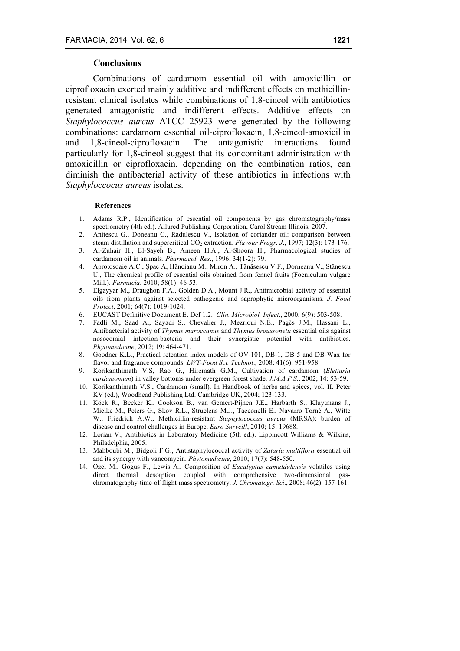### **Conclusions**

Combinations of cardamom essential oil with amoxicillin or ciprofloxacin exerted mainly additive and indifferent effects on methicillinresistant clinical isolates while combinations of 1,8-cineol with antibiotics generated antagonistic and indifferent effects. Additive effects on *Staphylococcus aureus* ATCC 25923 were generated by the following combinations: cardamom essential oil-ciprofloxacin, 1,8-cineol-amoxicillin and 1,8-cineol-ciprofloxacin. The antagonistic interactions found particularly for 1,8-cineol suggest that its concomitant administration with amoxicillin or ciprofloxacin, depending on the combination ratios, can diminish the antibacterial activity of these antibiotics in infections with *Staphyloccocus aureus* isolates.

### **References**

- 1. Adams R.P., Identification of essential oil components by gas chromatography/mass spectrometry (4th ed.). Allured Publishing Corporation, Carol Stream Illinois, 2007.
- 2. Anitescu G., Doneanu C., Radulescu V., Isolation of coriander oil: comparison between steam distillation and supercritical CO<sub>2</sub> extraction. *Flavour Fragr. J.*, 1997; 12(3): 173-176.
- 3. Al-Zuhair H., El-Sayeh B., Ameen H.A., Al-Shoora H., Pharmacological studies of cardamom oil in animals. *Pharmacol. Res*., 1996; 34(1-2): 79.
- 4. Aprotosoaie A.C., Şpac A, Hăncianu M., Miron A., Tănăsescu V.F., Dorneanu V., Stănescu U., The chemical profile of essential oils obtained from fennel fruits (Foeniculum vulgare Mill.). *Farmacia*, 2010; 58(1): 46-53.
- 5. Elgayyar M., Draughon F.A., Golden D.A., Mount J.R., Antimicrobial activity of essential oils from plants against selected pathogenic and saprophytic microorganisms. *J. Food Protect*, 2001; 64(7): 1019-1024.
- 6. EUCAST Definitive Document E. Def 1.2. *Clin. Microbiol. Infect*., 2000; 6(9): 503-508.
- 7. Fadli M., Saad A., Sayadi S., Chevalier J., Mezrioui N.E., Pagčs J.M., Hassani L., Antibacterial activity of *Thymus maroccanus* and *Thymus broussonetii* essential oils against nosocomial infection-bacteria and their synergistic potential with antibiotics. *Phytomedicine*, 2012; 19: 464-471.
- 8. Goodner K.L., Practical retention index models of OV-101, DB-1, DB-5 and DB-Wax for flavor and fragrance compounds. *LWT-Food Sci. Technol*., 2008; 41(6): 951-958.
- 9. Korikanthimath V.S, Rao G., Hiremath G.M., Cultivation of cardamom (*Elettaria cardamomum*) in valley bottoms under evergreen forest shade. *J.M.A.P.S.*, 2002; 14: 53-59.
- 10. Korikanthimath V.S., Cardamom (small). In Handbook of herbs and spices, vol. II. Peter KV (ed.), Woodhead Publishing Ltd. Cambridge UK, 2004; 123-133.
- 11. Köck R., Becker K., Cookson B., van Gemert-Pijnen J.E., Harbarth S., Kluytmans J., Mielke M., Peters G., Skov R.L., Struelens M.J., Tacconelli E., Navarro Torné A., Witte W., Friedrich A.W., Methicillin-resistant *Staphylococcus aureus* (MRSA): burden of disease and control challenges in Europe. *Euro Surveill*, 2010; 15: 19688.
- 12. Lorian V., Antibiotics in Laboratory Medicine (5th ed.). Lippincott Williams & Wilkins, Philadelphia, 2005.
- 13. Mahboubi M., Bidgoli F.G., Antistaphylococcal activity of *Zataria multiflora* essential oil and its synergy with vancomycin. *Phytomedicine*, 2010; 17(7): 548-550.
- 14. Ozel M., Gogus F., Lewis A., Composition of *Eucalyptus camaldulensis* volatiles using direct thermal desorption coupled with comprehensive two-dimensional gaschromatography-time-of-flight-mass spectrometry. *J. Chromatogr. Sci*., 2008; 46(2): 157-161.